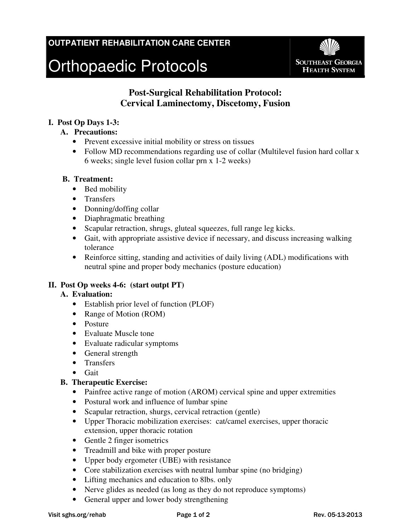# **OUTPATIENT REHABILITATION CARE CENTER**

# Orthopaedic Protocols



# **Post-Surgical Rehabilitation Protocol: Cervical Laminectomy, Discetomy, Fusion**

### **I. Post Op Days 1-3:**

- **A. Precautions:** 
	- Prevent excessive initial mobility or stress on tissues
	- Follow MD recommendations regarding use of collar (Multilevel fusion hard collar x 6 weeks; single level fusion collar prn x 1-2 weeks)

#### **B. Treatment:**

- Bed mobility
- Transfers
- Donning/doffing collar
- Diaphragmatic breathing
- Scapular retraction, shrugs, gluteal squeezes, full range leg kicks.
- Gait, with appropriate assistive device if necessary, and discuss increasing walking tolerance
- Reinforce sitting, standing and activities of daily living (ADL) modifications with neutral spine and proper body mechanics (posture education)

## **II. Post Op weeks 4-6: (start outpt PT)**

#### **A. Evaluation:**

- Establish prior level of function (PLOF)
- Range of Motion (ROM)
- Posture
- Evaluate Muscle tone
- Evaluate radicular symptoms
- General strength
- Transfers
- Gait

## **B. Therapeutic Exercise:**

- Painfree active range of motion (AROM) cervical spine and upper extremities
- Postural work and influence of lumbar spine
- Scapular retraction, shurgs, cervical retraction (gentle)
- Upper Thoracic mobilization exercises: cat/camel exercises, upper thoracic extension, upper thoracic rotation
- Gentle 2 finger isometrics
- Treadmill and bike with proper posture
- Upper body ergometer (UBE) with resistance
- Core stabilization exercises with neutral lumbar spine (no bridging)
- Lifting mechanics and education to 8lbs. only
- Nerve glides as needed (as long as they do not reproduce symptoms)
- General upper and lower body strengthening